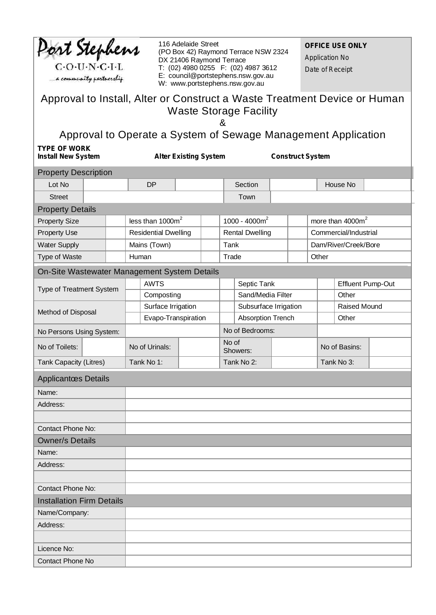| Port Stephens<br>$C \cdot O \cdot U \cdot N \cdot C \cdot I \cdot L$<br>a community partnership             |  | 116 Adelaide Street<br>(PO Box 42) Raymond Terrace NSW 2324<br>DX 21406 Raymond Terrace<br>T: (02) 4980 0255  F: (02) 4987 3612<br>E: council@portstephens.nsw.gov.au<br>W: www.portstephens.nsw.gov.au |                             |  |                   |                        |                          |  | <b>OFFICE USE ONLY</b><br><b>Application No</b><br>Date of Receipt |                          |                              |  |
|-------------------------------------------------------------------------------------------------------------|--|---------------------------------------------------------------------------------------------------------------------------------------------------------------------------------------------------------|-----------------------------|--|-------------------|------------------------|--------------------------|--|--------------------------------------------------------------------|--------------------------|------------------------------|--|
| Approval to Install, Alter or Construct a Waste Treatment Device or Human                                   |  |                                                                                                                                                                                                         |                             |  |                   |                        |                          |  |                                                                    |                          |                              |  |
| <b>Waste Storage Facility</b>                                                                               |  |                                                                                                                                                                                                         |                             |  |                   |                        |                          |  |                                                                    |                          |                              |  |
|                                                                                                             |  |                                                                                                                                                                                                         |                             |  |                   |                        |                          |  |                                                                    |                          |                              |  |
| Approval to Operate a System of Sewage Management Application                                               |  |                                                                                                                                                                                                         |                             |  |                   |                        |                          |  |                                                                    |                          |                              |  |
| <b>TYPE OF WORK</b><br><b>Alter Existing System</b><br><b>Construct System</b><br><b>Install New System</b> |  |                                                                                                                                                                                                         |                             |  |                   |                        |                          |  |                                                                    |                          |                              |  |
| <b>Property Description</b>                                                                                 |  |                                                                                                                                                                                                         |                             |  |                   |                        |                          |  |                                                                    |                          |                              |  |
| Lot No                                                                                                      |  |                                                                                                                                                                                                         | <b>DP</b>                   |  |                   |                        | Section                  |  |                                                                    |                          | House No                     |  |
| <b>Street</b>                                                                                               |  |                                                                                                                                                                                                         |                             |  |                   |                        | Town                     |  |                                                                    |                          |                              |  |
| <b>Property Details</b>                                                                                     |  |                                                                                                                                                                                                         |                             |  |                   |                        |                          |  |                                                                    |                          |                              |  |
| <b>Property Size</b>                                                                                        |  |                                                                                                                                                                                                         | less than $1000m^2$         |  |                   |                        | 1000 - 4000 $m2$         |  |                                                                    |                          | more than 4000m <sup>2</sup> |  |
| <b>Property Use</b>                                                                                         |  |                                                                                                                                                                                                         | <b>Residential Dwelling</b> |  |                   | <b>Rental Dwelling</b> |                          |  |                                                                    | Commercial/Industrial    |                              |  |
| <b>Water Supply</b>                                                                                         |  | Mains (Town)                                                                                                                                                                                            |                             |  |                   | Tank                   |                          |  |                                                                    | Dam/River/Creek/Bore     |                              |  |
| Type of Waste                                                                                               |  | Human                                                                                                                                                                                                   |                             |  |                   | Trade                  |                          |  | Other                                                              |                          |                              |  |
| On-Site Wastewater Management System Details                                                                |  |                                                                                                                                                                                                         |                             |  |                   |                        |                          |  |                                                                    |                          |                              |  |
| Type of Treatment System<br>Method of Disposal                                                              |  | <b>AWTS</b>                                                                                                                                                                                             |                             |  |                   | Septic Tank            |                          |  |                                                                    | <b>Effluent Pump-Out</b> |                              |  |
|                                                                                                             |  |                                                                                                                                                                                                         | Composting                  |  |                   |                        | Sand/Media Filter        |  |                                                                    |                          | Other                        |  |
|                                                                                                             |  | Surface Irrigation                                                                                                                                                                                      |                             |  |                   |                        | Subsurface Irrigation    |  |                                                                    |                          | Raised Mound                 |  |
|                                                                                                             |  | Evapo-Transpiration                                                                                                                                                                                     |                             |  |                   |                        | <b>Absorption Trench</b> |  |                                                                    |                          | Other                        |  |
| No Persons Using System:                                                                                    |  |                                                                                                                                                                                                         |                             |  |                   |                        | No of Bedrooms:          |  |                                                                    |                          |                              |  |
| No of Toilets:                                                                                              |  |                                                                                                                                                                                                         | No of Urinals:              |  | No of<br>Showers: |                        |                          |  |                                                                    |                          | No of Basins:                |  |
| <b>Tank Capacity (Litres)</b>                                                                               |  | Tank No 1:                                                                                                                                                                                              |                             |  |                   | Tank No 2:             |                          |  | Tank No 3:                                                         |                          |                              |  |
| <b>Applicantœs Details</b>                                                                                  |  |                                                                                                                                                                                                         |                             |  |                   |                        |                          |  |                                                                    |                          |                              |  |
| Name:                                                                                                       |  |                                                                                                                                                                                                         |                             |  |                   |                        |                          |  |                                                                    |                          |                              |  |
| Address:                                                                                                    |  |                                                                                                                                                                                                         |                             |  |                   |                        |                          |  |                                                                    |                          |                              |  |
|                                                                                                             |  |                                                                                                                                                                                                         |                             |  |                   |                        |                          |  |                                                                    |                          |                              |  |
| <b>Contact Phone No:</b>                                                                                    |  |                                                                                                                                                                                                         |                             |  |                   |                        |                          |  |                                                                    |                          |                              |  |
| <b>Owner/s Details</b>                                                                                      |  |                                                                                                                                                                                                         |                             |  |                   |                        |                          |  |                                                                    |                          |                              |  |
| Name:                                                                                                       |  |                                                                                                                                                                                                         |                             |  |                   |                        |                          |  |                                                                    |                          |                              |  |
| Address:                                                                                                    |  |                                                                                                                                                                                                         |                             |  |                   |                        |                          |  |                                                                    |                          |                              |  |
| <b>Contact Phone No:</b>                                                                                    |  |                                                                                                                                                                                                         |                             |  |                   |                        |                          |  |                                                                    |                          |                              |  |
| <b>Installation Firm Details</b>                                                                            |  |                                                                                                                                                                                                         |                             |  |                   |                        |                          |  |                                                                    |                          |                              |  |
| Name/Company:                                                                                               |  |                                                                                                                                                                                                         |                             |  |                   |                        |                          |  |                                                                    |                          |                              |  |
| Address:                                                                                                    |  |                                                                                                                                                                                                         |                             |  |                   |                        |                          |  |                                                                    |                          |                              |  |
|                                                                                                             |  |                                                                                                                                                                                                         |                             |  |                   |                        |                          |  |                                                                    |                          |                              |  |
| Licence No:                                                                                                 |  |                                                                                                                                                                                                         |                             |  |                   |                        |                          |  |                                                                    |                          |                              |  |
| Contact Phone No                                                                                            |  |                                                                                                                                                                                                         |                             |  |                   |                        |                          |  |                                                                    |                          |                              |  |